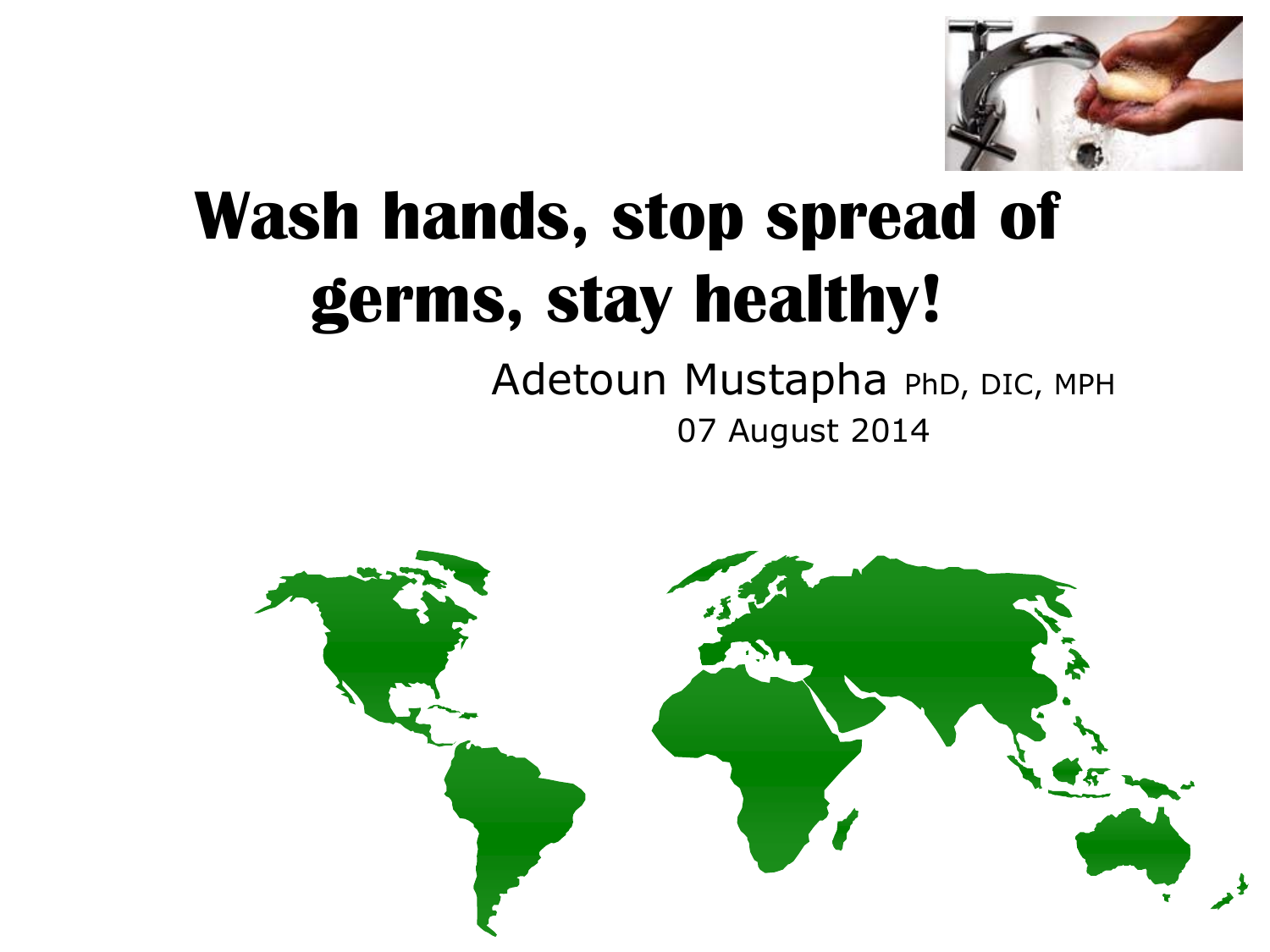

# **Wash hands, stop spread of germs, stay healthy!**

### Adetoun Mustapha PhD, DIC, MPH 07 August 2014

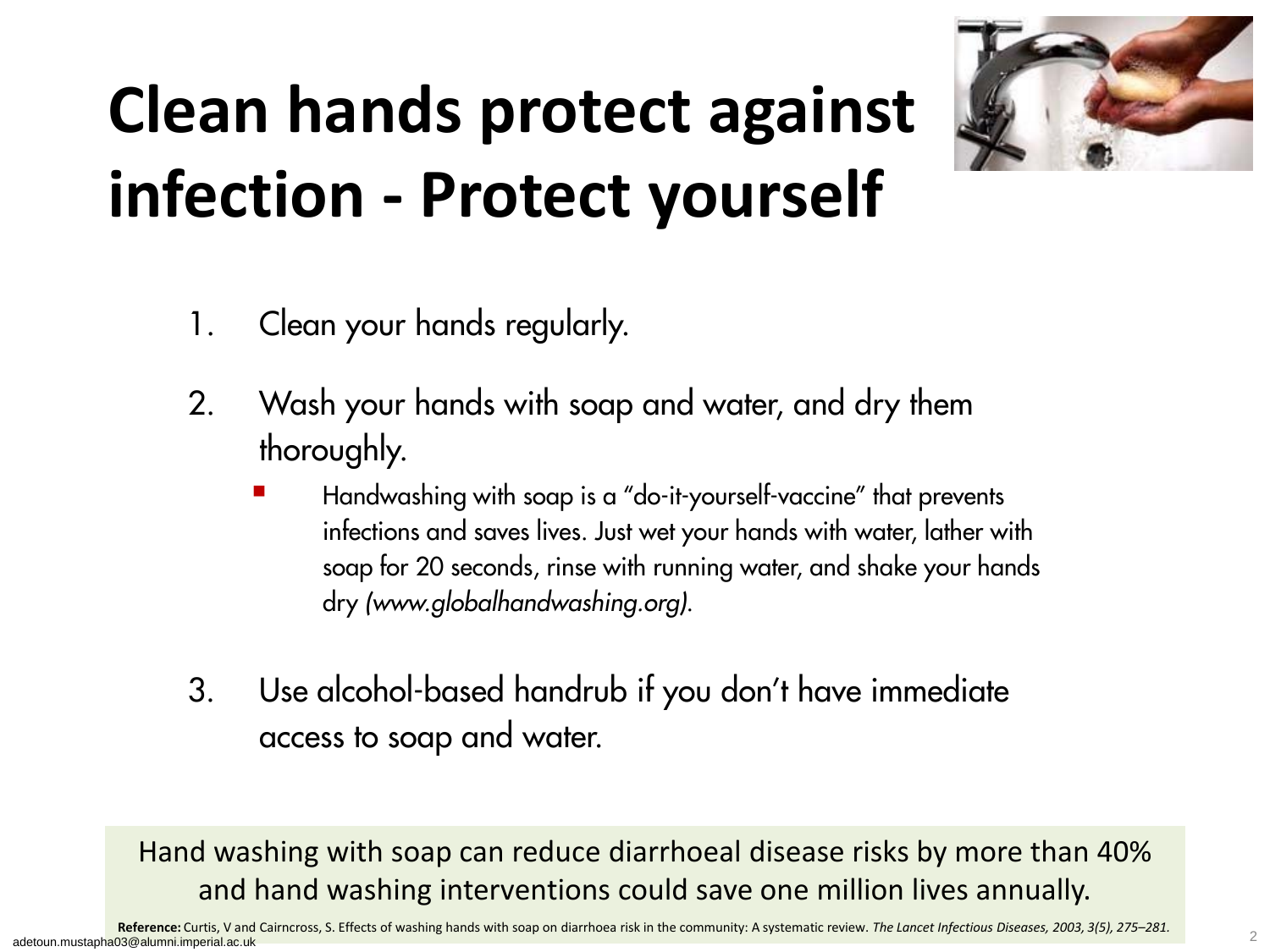# **Clean hands protect against infection - Protect yourself**



- 1. Clean your hands regularly.
- 2. Wash your hands with soap and water, and dry them thoroughly.
	- Handwashing with soap is a "do-it-yourself-vaccine" that prevents infections and saves lives. Just wet your hands with water, lather with soap for 20 seconds, rinse with running water, and shake your hands dry *(www.globalhandwashing.org)*.
- 3. Use alcohol-based handrub if you don't have immediate access to soap and water.

Hand washing with soap can reduce diarrhoeal disease risks by more than 40% and hand washing interventions could save one million lives annually.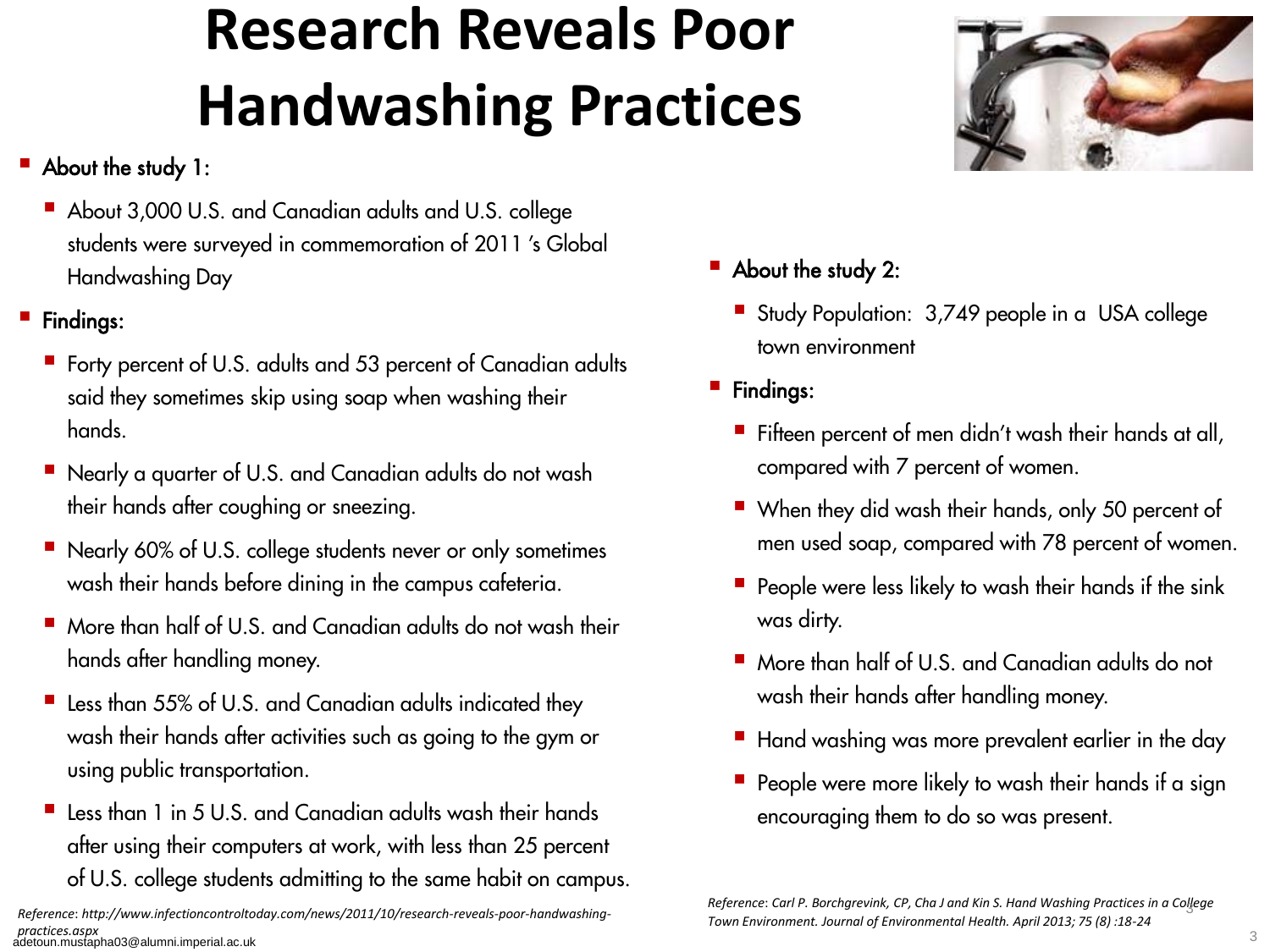### **Research Reveals Poor Handwashing Practices**

#### ■ About the study 1:

About 3,000 U.S. and Canadian adults and U.S. college students were surveyed in commemoration of 2011 's Global Handwashing Day

#### **Findings:**

- Forty percent of U.S. adults and 53 percent of Canadian adults said they sometimes skip using soap when washing their hands.
- Nearly a quarter of U.S. and Canadian adults do not wash their hands after coughing or sneezing.
- Nearly 60% of U.S. college students never or only sometimes wash their hands before dining in the campus cafeteria.
- More than half of U.S. and Canadian adults do not wash their hands after handling money.
- Less than 55% of U.S. and Canadian adults indicated they wash their hands after activities such as going to the gym or using public transportation.
- Less than 1 in 5 U.S. and Canadian adults wash their hands after using their computers at work, with less than 25 percent of U.S. college students admitting to the same habit on campus.

*Reference*: *http://www.infectioncontroltoday.com/news/2011/10/research-reveals-poor-handwashingpractices.aspx* practices.aspx<br>adetoun.mustapha03@alumni.imperial.ac.uk 33



- **About the study 2:** 
	- Study Population: 3,749 people in a USA college town environment
- **Findings:** 
	- Fifteen percent of men didn't wash their hands at all, compared with 7 percent of women.
	- When they did wash their hands, only 50 percent of men used soap, compared with 78 percent of women.
	- $\blacksquare$  People were less likely to wash their hands if the sink was dirty.
	- More than half of U.S. and Canadian adults do not wash their hands after handling money.
	- Hand washing was more prevalent earlier in the day
	- $\blacksquare$  People were more likely to wash their hands if a sign encouraging them to do so was present.

*Reference*: *Carl P. Borchgrevink, CP, Cha J and Kin S. Hand Washing Practices in a College*  3 *Town Environment. Journal of Environmental Health. April 2013; 75 (8) :18-24*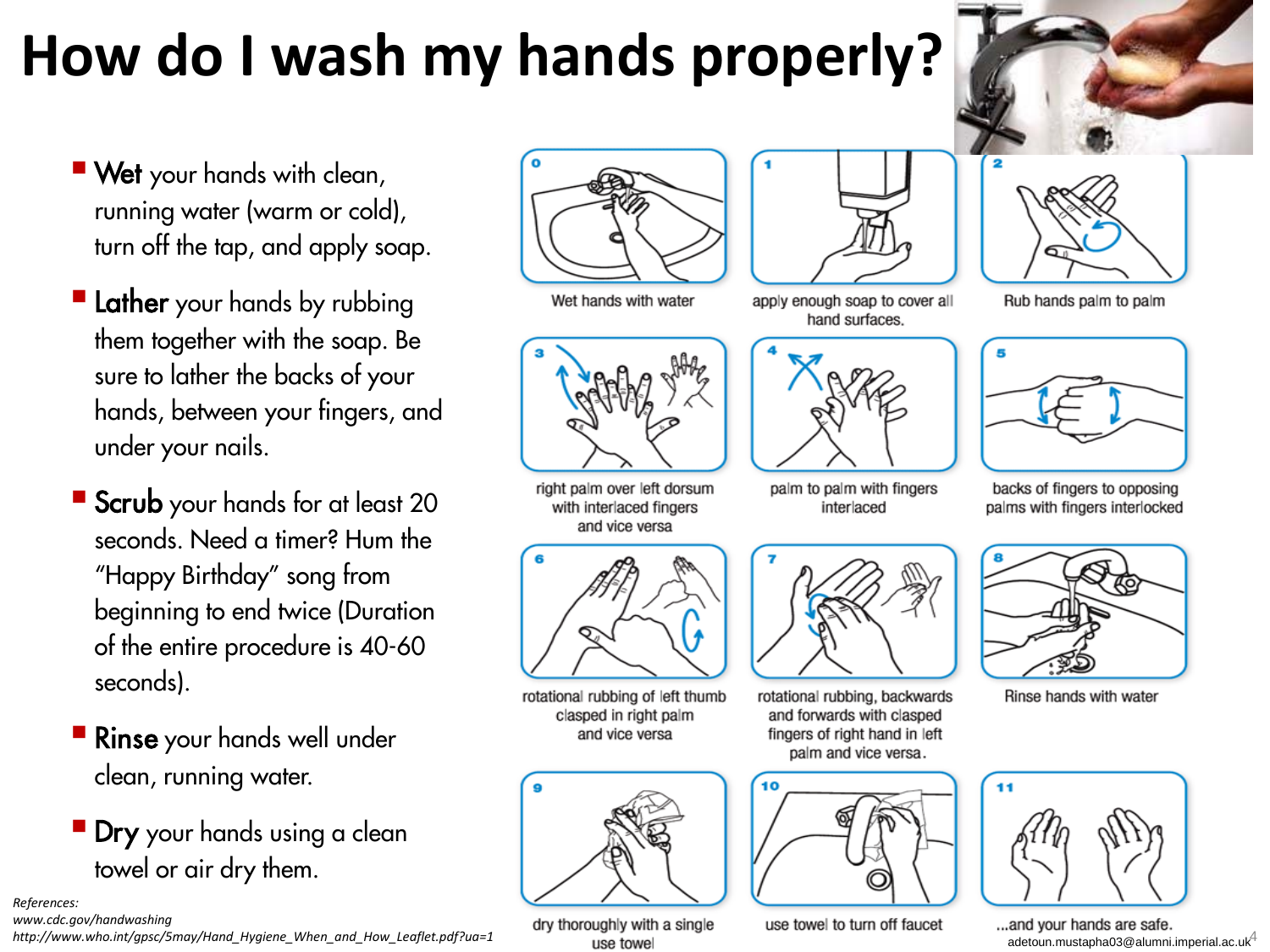### **How do I wash my hands properly?**

- **Wet** your hands with clean, running water (warm or cold), turn off the tap, and apply soap.
- **Lather** your hands by rubbing them together with the soap. Be sure to lather the backs of your hands, between your fingers, and under your nails.
- Scrub your hands for at least 20 seconds. Need a timer? Hum the "Happy Birthday" song from beginning to end twice (Duration of the entire procedure is 40-60 seconds).
- **Rinse** your hands well under clean, running water.
- **Dry** your hands using a clean towel or air dry them.

*References:* 

*www.cdc.gov/handwashing*

*http://www.who.int/gpsc/5may/Hand\_Hygiene\_When\_and\_How\_Leaflet.pdf?ua=1*



Wet hands with water





right palm over left dorsum with interlaced fingers and vice versa



rotational rubbing of left thumb clasped in right palm and vice versa



dry thoroughly with a single

use towel

apply enough soap to cover all hand surfaces.



palm to palm with fingers interlaced

![](_page_3_Picture_21.jpeg)

rotational rubbing, backwards and forwards with clasped fingers of right hand in left palm and vice versa.

![](_page_3_Picture_23.jpeg)

use towel to turn off faucet

![](_page_3_Picture_25.jpeg)

Rub hands palm to palm

![](_page_3_Picture_27.jpeg)

backs of fingers to opposing palms with fingers interlocked

![](_page_3_Picture_29.jpeg)

Rinse hands with water

![](_page_3_Picture_31.jpeg)

and your hands are safe...<br>adetoun.mustapha03@alumni.imperial.ac.uk<sup>4</sup>

![](_page_3_Picture_33.jpeg)